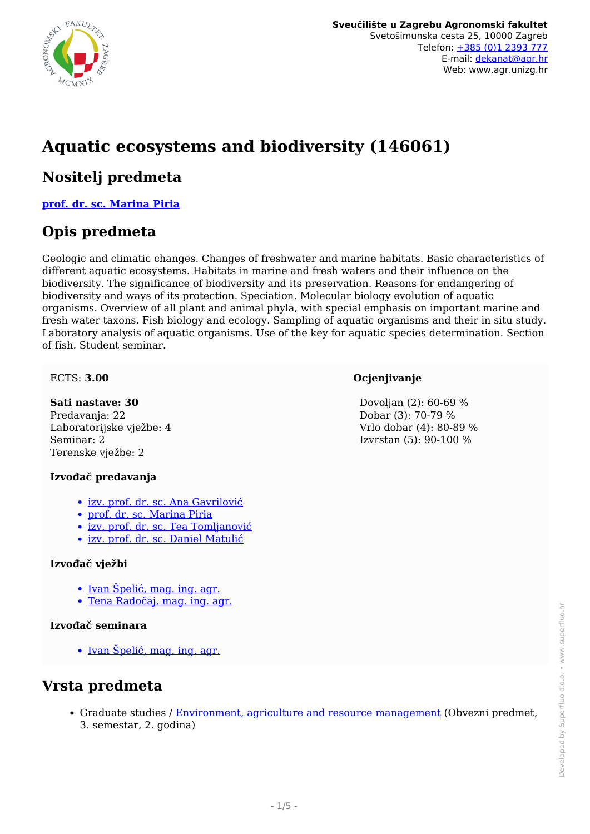

# **Aquatic ecosystems and biodiversity (146061)**

### **Nositelj predmeta**

**[prof. dr. sc. Marina Piria](/hr/member/83)**

## **Opis predmeta**

Geologic and climatic changes. Changes of freshwater and marine habitats. Basic characteristics of different aquatic ecosystems. Habitats in marine and fresh waters and their influence on the biodiversity. The significance of biodiversity and its preservation. Reasons for endangering of biodiversity and ways of its protection. Speciation. Molecular biology evolution of aquatic organisms. Overview of all plant and animal phyla, with special emphasis on important marine and fresh water taxons. Fish biology and ecology. Sampling of aquatic organisms and their in situ study. Laboratory analysis of aquatic organisms. Use of the key for aquatic species determination. Section of fish. Student seminar.

#### ECTS: **3.00**

#### **Sati nastave: 30**

Predavanja: 22 Laboratorijske vježbe: 4 Seminar: 2 Terenske vježbe: 2

#### **Izvođač predavanja**

- [izv. prof. dr. sc. Ana Gavrilović](/hr/member/603)
- [prof. dr. sc. Marina Piria](/hr/member/83)
- [izv. prof. dr. sc. Tea Tomljanović](/hr/member/128)
- [izv. prof. dr. sc. Daniel Matulić](/hr/member/213)

#### **Izvođač vježbi**

- [Ivan Špelić, mag. ing. agr.](/hr/member/583)
- [Tena Radočaj, mag. ing. agr.](/hr/member/617)

#### **Izvođač seminara**

• [Ivan Špelić, mag. ing. agr.](/hr/member/583)

### **Vrsta predmeta**

Graduate studies / [Environment, agriculture and resource management](/hr/study/en/3/Environment%2C+agriculture+and+resource+management) (Obvezni predmet, 3. semestar, 2. godina)

#### Dovoljan (2): 60-69 % Dobar (3): 70-79 % Vrlo dobar (4): 80-89 % Izvrstan (5): 90-100 %

**Ocjenjivanje**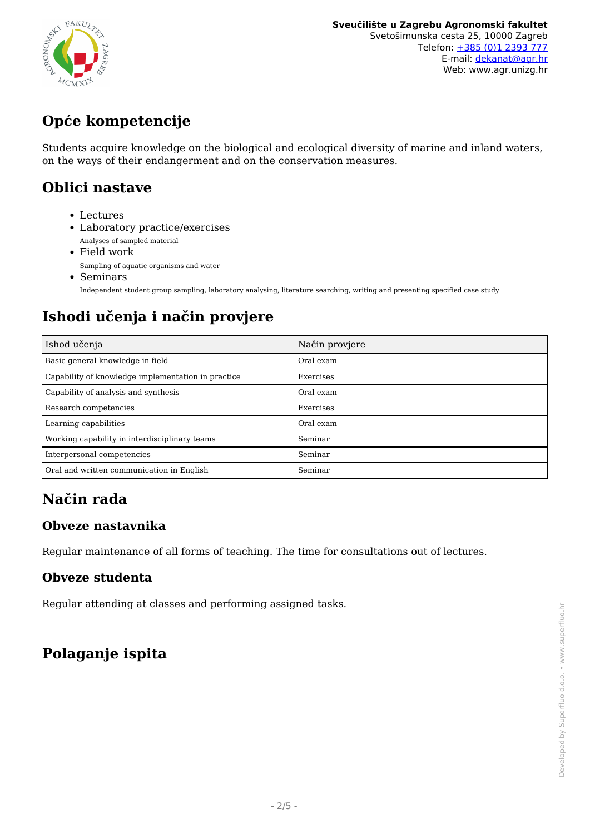

# **Opće kompetencije**

Students acquire knowledge on the biological and ecological diversity of marine and inland waters, on the ways of their endangerment and on the conservation measures.

### **Oblici nastave**

- Lectures
- Laboratory practice/exercises Analyses of sampled material
- Field work Sampling of aquatic organisms and water
- Seminars Independent student group sampling, laboratory analysing, literature searching, writing and presenting specified case study

# **Ishodi učenja i način provjere**

| Ishod učenja                                       | Način provjere |  |
|----------------------------------------------------|----------------|--|
| Basic general knowledge in field                   | Oral exam      |  |
| Capability of knowledge implementation in practice | Exercises      |  |
| Capability of analysis and synthesis               | Oral exam      |  |
| Research competencies                              | Exercises      |  |
| Learning capabilities                              | Oral exam      |  |
| Working capability in interdisciplinary teams      | Seminar        |  |
| Interpersonal competencies                         | Seminar        |  |
| Oral and written communication in English          | Seminar        |  |

## **Način rada**

### **Obveze nastavnika**

Regular maintenance of all forms of teaching. The time for consultations out of lectures.

#### **Obveze studenta**

Regular attending at classes and performing assigned tasks.

## **Polaganje ispita**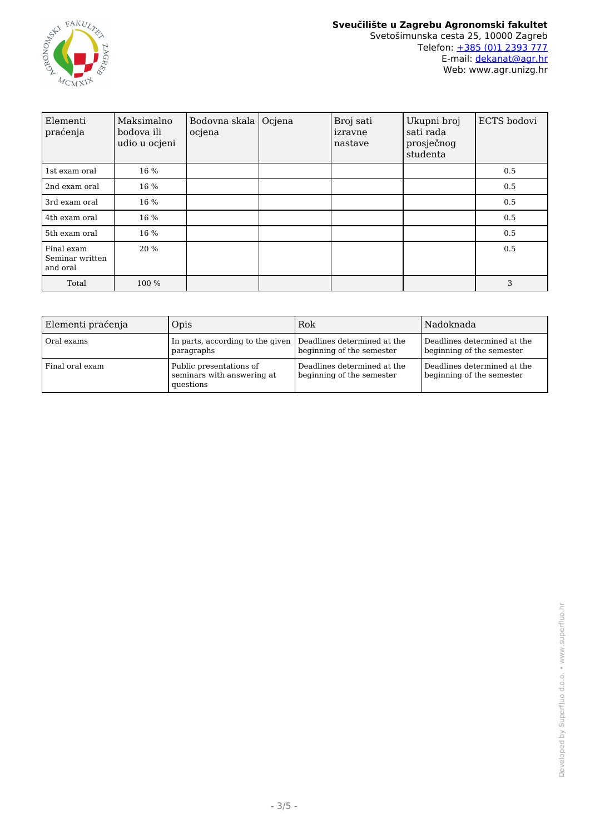

| Elementi<br>praćenja                      | Maksimalno<br>bodova ili<br>udio u ocjeni | Bodovna skala<br>ocjena | Ocjena | Broj sati<br>izravne<br>nastave | Ukupni broj<br>sati rada<br>prosječnog<br>studenta | ECTS bodovi |
|-------------------------------------------|-------------------------------------------|-------------------------|--------|---------------------------------|----------------------------------------------------|-------------|
| 1st exam oral                             | 16 %                                      |                         |        |                                 |                                                    | 0.5         |
| 2nd exam oral                             | 16 %                                      |                         |        |                                 |                                                    | 0.5         |
| 3rd exam oral                             | 16 %                                      |                         |        |                                 |                                                    | 0.5         |
| 4th exam oral                             | 16 %                                      |                         |        |                                 |                                                    | 0.5         |
| 5th exam oral                             | 16 %                                      |                         |        |                                 |                                                    | 0.5         |
| Final exam<br>Seminar written<br>and oral | 20 %                                      |                         |        |                                 |                                                    | 0.5         |
| Total                                     | 100 %                                     |                         |        |                                 |                                                    | 3           |

| Elementi praćenja | Opis                                                                       | Rok                                                      | Nadoknada                                                |
|-------------------|----------------------------------------------------------------------------|----------------------------------------------------------|----------------------------------------------------------|
| Oral exams        | In parts, according to the given Deadlines determined at the<br>paragraphs | beginning of the semester                                | Deadlines determined at the<br>beginning of the semester |
| Final oral exam   | Public presentations of<br>seminars with answering at<br>questions         | Deadlines determined at the<br>beginning of the semester | Deadlines determined at the<br>beginning of the semester |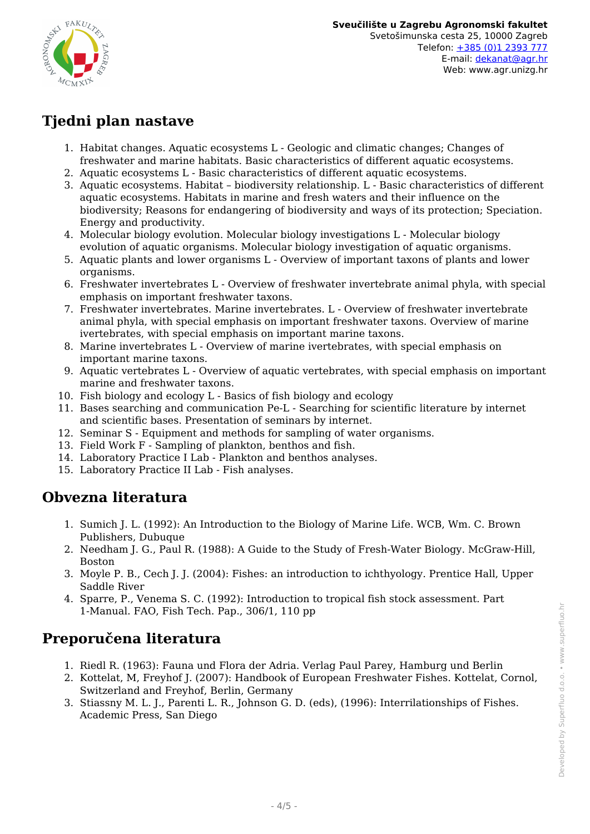

## **Tjedni plan nastave**

- 1. Habitat changes. Aquatic ecosystems L Geologic and climatic changes; Changes of freshwater and marine habitats. Basic characteristics of different aquatic ecosystems.
- 2. Aquatic ecosystems L Basic characteristics of different aquatic ecosystems.
- 3. Aquatic ecosystems. Habitat biodiversity relationship. L Basic characteristics of different aquatic ecosystems. Habitats in marine and fresh waters and their influence on the biodiversity; Reasons for endangering of biodiversity and ways of its protection; Speciation. Energy and productivity.
- 4. Molecular biology evolution. Molecular biology investigations L Molecular biology evolution of aquatic organisms. Molecular biology investigation of aquatic organisms.
- 5. Aquatic plants and lower organisms L Overview of important taxons of plants and lower organisms.
- 6. Freshwater invertebrates L Overview of freshwater invertebrate animal phyla, with special emphasis on important freshwater taxons.
- 7. Freshwater invertebrates. Marine invertebrates. L Overview of freshwater invertebrate animal phyla, with special emphasis on important freshwater taxons. Overview of marine ivertebrates, with special emphasis on important marine taxons.
- 8. Marine invertebrates L Overview of marine ivertebrates, with special emphasis on important marine taxons.
- 9. Aquatic vertebrates L Overview of aquatic vertebrates, with special emphasis on important marine and freshwater taxons.
- 10. Fish biology and ecology L Basics of fish biology and ecology
- 11. Bases searching and communication Pe-L Searching for scientific literature by internet and scientific bases. Presentation of seminars by internet.
- 12. Seminar S Equipment and methods for sampling of water organisms.
- 13. Field Work F Sampling of plankton, benthos and fish.
- 14. Laboratory Practice I Lab Plankton and benthos analyses.
- 15. Laboratory Practice II Lab Fish analyses.

### **Obvezna literatura**

- 1. Sumich J. L. (1992): An Introduction to the Biology of Marine Life. WCB, Wm. C. Brown Publishers, Dubuque
- 2. Needham J. G., Paul R. (1988): A Guide to the Study of Fresh-Water Biology. McGraw-Hill, Boston
- 3. Moyle P. B., Cech J. J. (2004): Fishes: an introduction to ichthyology. Prentice Hall, Upper Saddle River
- 4. Sparre, P., Venema S. C. (1992): Introduction to tropical fish stock assessment. Part 1-Manual. FAO, Fish Tech. Pap., 306/1, 110 pp

## **Preporučena literatura**

- 1. Riedl R. (1963): Fauna und Flora der Adria. Verlag Paul Parey, Hamburg und Berlin
- 2. Kottelat, M, Freyhof J. (2007): Handbook of European Freshwater Fishes. Kottelat, Cornol, Switzerland and Freyhof, Berlin, Germany
- 3. Stiassny M. L. J., Parenti L. R., Johnson G. D. (eds), (1996): Interrilationships of Fishes. Academic Press, San Diego